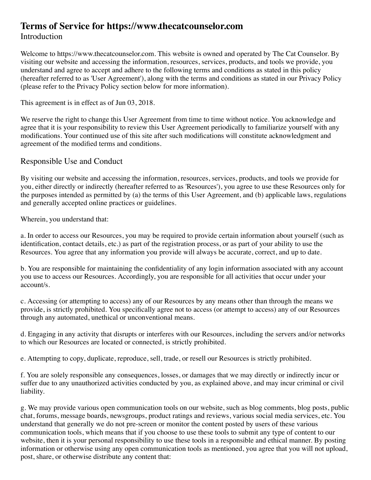# **Terms of Service for https://www.thecatcounselor.com**

#### Introduction

Welcome to https://www.thecatcounselor.com. This website is owned and operated by The Cat Counselor. By visiting our website and accessing the information, resources, services, products, and tools we provide, you understand and agree to accept and adhere to the following terms and conditions as stated in this policy (hereafter referred to as 'User Agreement'), along with the terms and conditions as stated in our Privacy Policy (please refer to the Privacy Policy section below for more information).

This agreement is in effect as of Jun 03, 2018.

We reserve the right to change this User Agreement from time to time without notice. You acknowledge and agree that it is your responsibility to review this User Agreement periodically to familiarize yourself with any modifications. Your continued use of this site after such modifications will constitute acknowledgment and agreement of the modified terms and conditions.

#### Responsible Use and Conduct

By visiting our website and accessing the information, resources, services, products, and tools we provide for you, either directly or indirectly (hereafter referred to as 'Resources'), you agree to use these Resources only for the purposes intended as permitted by (a) the terms of this User Agreement, and (b) applicable laws, regulations and generally accepted online practices or guidelines.

Wherein, you understand that:

a. In order to access our Resources, you may be required to provide certain information about yourself (such as identification, contact details, etc.) as part of the registration process, or as part of your ability to use the Resources. You agree that any information you provide will always be accurate, correct, and up to date.

b. You are responsible for maintaining the confidentiality of any login information associated with any account you use to access our Resources. Accordingly, you are responsible for all activities that occur under your account/s.

c. Accessing (or attempting to access) any of our Resources by any means other than through the means we provide, is strictly prohibited. You specifically agree not to access (or attempt to access) any of our Resources through any automated, unethical or unconventional means.

d. Engaging in any activity that disrupts or interferes with our Resources, including the servers and/or networks to which our Resources are located or connected, is strictly prohibited.

e. Attempting to copy, duplicate, reproduce, sell, trade, or resell our Resources is strictly prohibited.

f. You are solely responsible any consequences, losses, or damages that we may directly or indirectly incur or suffer due to any unauthorized activities conducted by you, as explained above, and may incur criminal or civil liability.

g. We may provide various open communication tools on our website, such as blog comments, blog posts, public chat, forums, message boards, newsgroups, product ratings and reviews, various social media services, etc. You understand that generally we do not pre-screen or monitor the content posted by users of these various communication tools, which means that if you choose to use these tools to submit any type of content to our website, then it is your personal responsibility to use these tools in a responsible and ethical manner. By posting information or otherwise using any open communication tools as mentioned, you agree that you will not upload, post, share, or otherwise distribute any content that: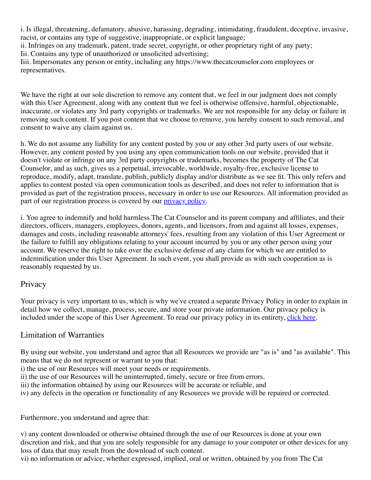i. Is illegal, threatening, defamatory, abusive, harassing, degrading, intimidating, fraudulent, deceptive, invasive, racist, or contains any type of suggestive, inappropriate, or explicit language;

ii. Infringes on any trademark, patent, trade secret, copyright, or other proprietary right of any party; Iii. Contains any type of unauthorized or unsolicited advertising;

Iiii. Impersonates any person or entity, including any https://www.thecatcounselor.com employees or representatives.

We have the right at our sole discretion to remove any content that, we feel in our judgment does not comply with this User Agreement, along with any content that we feel is otherwise offensive, harmful, objectionable, inaccurate, or violates any 3rd party copyrights or trademarks. We are not responsible for any delay or failure in removing such content. If you post content that we choose to remove, you hereby consent to such removal, and consent to waive any claim against us.

h. We do not assume any liability for any content posted by you or any other 3rd party users of our website. However, any content posted by you using any open communication tools on our website, provided that it doesn't violate or infringe on any 3rd party copyrights or trademarks, becomes the property of The Cat Counselor, and as such, gives us a perpetual, irrevocable, worldwide, royalty-free, exclusive license to reproduce, modify, adapt, translate, publish, publicly display and/or distribute as we see fit. This only refers and applies to content posted via open communication tools as described, and does not refer to information that is provided as part of the registration process, necessary in order to use our Resources. All information provided as part of our registration process is covered by our *privacy policy*.

i. You agree to indemnify and hold harmless The Cat Counselor and its parent company and affiliates, and their directors, officers, managers, employees, donors, agents, and licensors, from and against all losses, expenses, damages and costs, including reasonable attorneys' fees, resulting from any violation of this User Agreement or the failure to fulfill any obligations relating to your account incurred by you or any other person using your account. We reserve the right to take over the exclusive defense of any claim for which we are entitled to indemnification under this User Agreement. In such event, you shall provide us with such cooperation as is reasonably requested by us.

## Privacy

Your privacy is very important to us, which is why we've created a separate Privacy Policy in order to explain in detail how we collect, manage, process, secure, and store your private information. Our privacy policy is included under the scope of this User Agreement. To read our privacy policy in its entirety, [click here.](http://https//docs.wixstatic.com/ugd/4ecc17_e61a16716efe47a4871527449095b7f3.pdf)

#### Limitation of Warranties

By using our website, you understand and agree that all Resources we provide are "as is" and "as available". This means that we do not represent or warrant to you that:

i) the use of our Resources will meet your needs or requirements.

- ii) the use of our Resources will be uninterrupted, timely, secure or free from errors.
- iii) the information obtained by using our Resources will be accurate or reliable, and
- iv) any defects in the operation or functionality of any Resources we provide will be repaired or corrected.

Furthermore, you understand and agree that:

v) any content downloaded or otherwise obtained through the use of our Resources is done at your own discretion and risk, and that you are solely responsible for any damage to your computer or other devices for any loss of data that may result from the download of such content.

vi) no information or advice, whether expressed, implied, oral or written, obtained by you from The Cat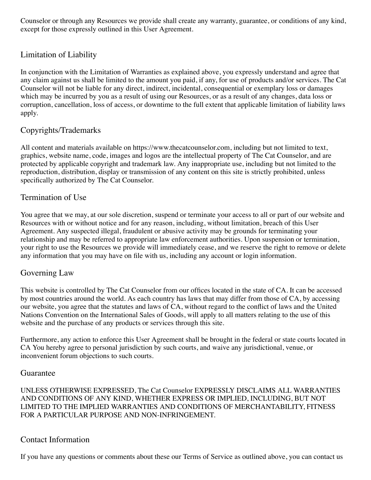Counselor or through any Resources we provide shall create any warranty, guarantee, or conditions of any kind, except for those expressly outlined in this User Agreement.

## Limitation of Liability

In conjunction with the Limitation of Warranties as explained above, you expressly understand and agree that any claim against us shall be limited to the amount you paid, if any, for use of products and/or services. The Cat Counselor will not be liable for any direct, indirect, incidental, consequential or exemplary loss or damages which may be incurred by you as a result of using our Resources, or as a result of any changes, data loss or corruption, cancellation, loss of access, or downtime to the full extent that applicable limitation of liability laws apply.

## Copyrights/Trademarks

All content and materials available on https://www.thecatcounselor.com, including but not limited to text, graphics, website name, code, images and logos are the intellectual property of The Cat Counselor, and are protected by applicable copyright and trademark law. Any inappropriate use, including but not limited to the reproduction, distribution, display or transmission of any content on this site is strictly prohibited, unless specifically authorized by The Cat Counselor.

## Termination of Use

You agree that we may, at our sole discretion, suspend or terminate your access to all or part of our website and Resources with or without notice and for any reason, including, without limitation, breach of this User Agreement. Any suspected illegal, fraudulent or abusive activity may be grounds for terminating your relationship and may be referred to appropriate law enforcement authorities. Upon suspension or termination, your right to use the Resources we provide will immediately cease, and we reserve the right to remove or delete any information that you may have on file with us, including any account or login information.

## Governing Law

This website is controlled by The Cat Counselor from our offices located in the state of CA. It can be accessed by most countries around the world. As each country has laws that may differ from those of CA, by accessing our website, you agree that the statutes and laws of CA, without regard to the conflict of laws and the United Nations Convention on the International Sales of Goods, will apply to all matters relating to the use of this website and the purchase of any products or services through this site.

Furthermore, any action to enforce this User Agreement shall be brought in the federal or state courts located in CA You hereby agree to personal jurisdiction by such courts, and waive any jurisdictional, venue, or inconvenient forum objections to such courts.

#### Guarantee

UNLESS OTHERWISE EXPRESSED, The Cat Counselor EXPRESSLY DISCLAIMS ALL WARRANTIES AND CONDITIONS OF ANY KIND, WHETHER EXPRESS OR IMPLIED, INCLUDING, BUT NOT LIMITED TO THE IMPLIED WARRANTIES AND CONDITIONS OF MERCHANTABILITY, FITNESS FOR A PARTICULAR PURPOSE AND NON-INFRINGEMENT.

## Contact Information

If you have any questions or comments about these our Terms of Service as outlined above, you can contact us